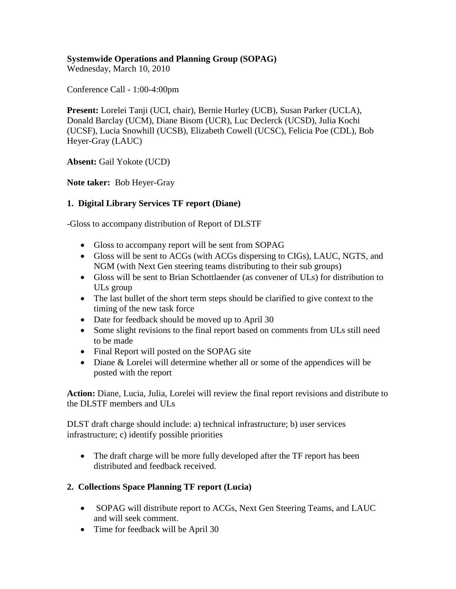# **Systemwide Operations and Planning Group (SOPAG)**

Wednesday, March 10, 2010

Conference Call - 1:00-4:00pm

**Present:** Lorelei Tanji (UCI, chair), Bernie Hurley (UCB), Susan Parker (UCLA), Donald Barclay (UCM), Diane Bisom (UCR), Luc Declerck (UCSD), Julia Kochi (UCSF), Lucia Snowhill (UCSB), Elizabeth Cowell (UCSC), Felicia Poe (CDL), Bob Heyer-Gray (LAUC)

**Absent:** Gail Yokote (UCD)

**Note taker:** Bob Heyer-Gray

## **1. Digital Library Services TF report (Diane)**

-Gloss to accompany distribution of Report of DLSTF

- Gloss to accompany report will be sent from SOPAG
- Gloss will be sent to ACGs (with ACGs dispersing to CIGs), LAUC, NGTS, and NGM (with Next Gen steering teams distributing to their sub groups)
- Gloss will be sent to Brian Schottlaender (as convener of ULs) for distribution to ULs group
- The last bullet of the short term steps should be clarified to give context to the timing of the new task force
- Date for feedback should be moved up to April 30
- Some slight revisions to the final report based on comments from ULs still need to be made
- Final Report will posted on the SOPAG site
- Diane & Lorelei will determine whether all or some of the appendices will be posted with the report

**Action:** Diane, Lucia, Julia, Lorelei will review the final report revisions and distribute to the DLSTF members and ULs

DLST draft charge should include: a) technical infrastructure; b) user services infrastructure; c) identify possible priorities

• The draft charge will be more fully developed after the TF report has been distributed and feedback received.

## **2. Collections Space Planning TF report (Lucia)**

- SOPAG will distribute report to ACGs, Next Gen Steering Teams, and LAUC and will seek comment.
- Time for feedback will be April 30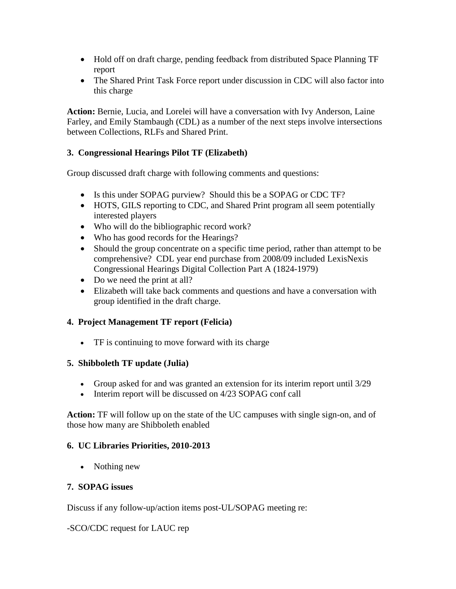- Hold off on draft charge, pending feedback from distributed Space Planning TF report
- The Shared Print Task Force report under discussion in CDC will also factor into this charge

**Action:** Bernie, Lucia, and Lorelei will have a conversation with Ivy Anderson, Laine Farley, and Emily Stambaugh (CDL) as a number of the next steps involve intersections between Collections, RLFs and Shared Print.

## **3. Congressional Hearings Pilot TF (Elizabeth)**

Group discussed draft charge with following comments and questions:

- Is this under SOPAG purview? Should this be a SOPAG or CDC TF?
- HOTS, GILS reporting to CDC, and Shared Print program all seem potentially interested players
- Who will do the bibliographic record work?
- Who has good records for the Hearings?
- Should the group concentrate on a specific time period, rather than attempt to be comprehensive? CDL year end purchase from 2008/09 included LexisNexis Congressional Hearings Digital Collection Part A (1824-1979)
- Do we need the print at all?
- Elizabeth will take back comments and questions and have a conversation with group identified in the draft charge.

### **4. Project Management TF report (Felicia)**

• TF is continuing to move forward with its charge

### **5. Shibboleth TF update (Julia)**

- Group asked for and was granted an extension for its interim report until 3/29
- Interim report will be discussed on 4/23 SOPAG conf call

**Action:** TF will follow up on the state of the UC campuses with single sign-on, and of those how many are Shibboleth enabled

### **6. UC Libraries Priorities, 2010-2013**

• Nothing new

### **7. SOPAG issues**

Discuss if any follow-up/action items post-UL/SOPAG meeting re:

### -SCO/CDC request for LAUC rep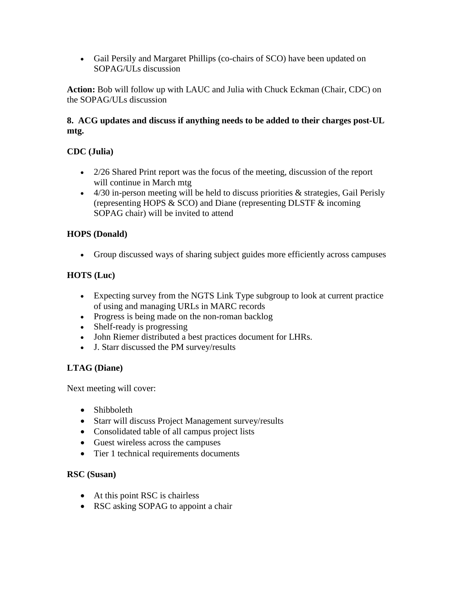• Gail Persily and Margaret Phillips (co-chairs of SCO) have been updated on SOPAG/ULs discussion

**Action:** Bob will follow up with LAUC and Julia with Chuck Eckman (Chair, CDC) on the SOPAG/ULs discussion

## **8. ACG updates and discuss if anything needs to be added to their charges post-UL mtg.**

# **CDC (Julia)**

- 2/26 Shared Print report was the focus of the meeting, discussion of the report will continue in March mtg
- $\bullet$  4/30 in-person meeting will be held to discuss priorities & strategies, Gail Perisly (representing HOPS & SCO) and Diane (representing DLSTF & incoming SOPAG chair) will be invited to attend

## **HOPS (Donald)**

• Group discussed ways of sharing subject guides more efficiently across campuses

## **HOTS (Luc)**

- Expecting survey from the NGTS Link Type subgroup to look at current practice of using and managing URLs in MARC records
- Progress is being made on the non-roman backlog
- Shelf-ready is progressing
- John Riemer distributed a best practices document for LHRs.
- J. Starr discussed the PM survey/results

## **LTAG (Diane)**

Next meeting will cover:

- Shibboleth
- Starr will discuss Project Management survey/results
- Consolidated table of all campus project lists
- Guest wireless across the campuses
- Tier 1 technical requirements documents

### **RSC (Susan)**

- At this point RSC is chairless
- RSC asking SOPAG to appoint a chair